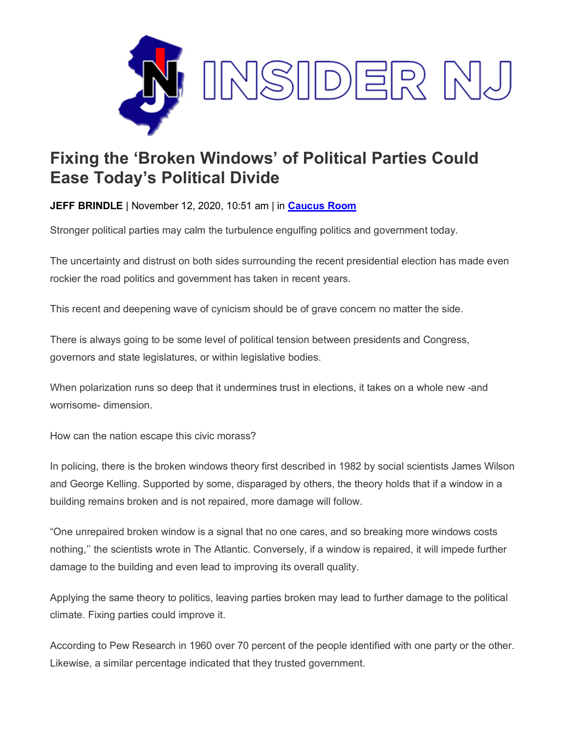

## **Fixing the 'Broken Windows' of Political Parties Could Ease Today's Political Divide**

**JEFF BRINDLE** | November 12, 2020, 10:51 am | in **[Caucus](https://www.insidernj.com/category/caucus-room/) Room**

Stronger political parties may calm the turbulence engulfing politics and government today.

The uncertainty and distrust on both sides surrounding the recent presidential election has made even rockier the road politics and government has taken in recent years.

This recent and deepening wave of cynicism should be of grave concern no matter the side.

There is always going to be some level of political tension between presidents and Congress, governors and state legislatures, or within legislative bodies.

When polarization runs so deep that it undermines trust in elections, it takes on a whole new -and worrisome- dimension.

How can the nation escape this civic morass?

In policing, there is the broken windows theory first described in 1982 by social scientists James Wilson and George Kelling. Supported by some, disparaged by others, the theory holds that if a window in a building remains broken and is not repaired, more damage will follow.

"One unrepaired broken window is a signal that no one cares, and so breaking more windows costs nothing,'' the scientists wrote in The Atlantic. Conversely, if a window is repaired, it will impede further damage to the building and even lead to improving its overall quality.

Applying the same theory to politics, leaving parties broken may lead to further damage to the political climate. Fixing parties could improve it.

According to Pew Research in 1960 over 70 percent of the people identified with one party or the other. Likewise, a similar percentage indicated that they trusted government.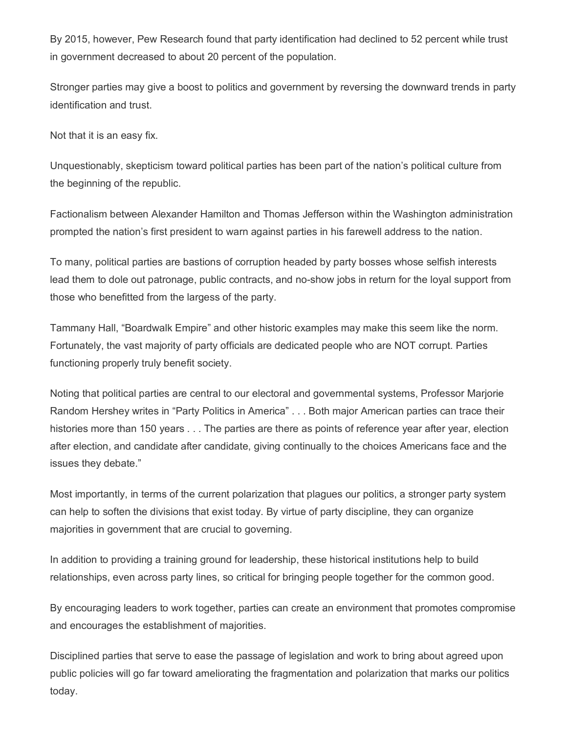By 2015, however, Pew Research found that party identification had declined to 52 percent while trust in government decreased to about 20 percent of the population.

Stronger parties may give a boost to politics and government by reversing the downward trends in party identification and trust.

Not that it is an easy fix.

Unquestionably, skepticism toward political parties has been part of the nation's political culture from the beginning of the republic.

Factionalism between Alexander Hamilton and Thomas Jefferson within the Washington administration prompted the nation's first president to warn against parties in his farewell address to the nation.

To many, political parties are bastions of corruption headed by party bosses whose selfish interests lead them to dole out patronage, public contracts, and no-show jobs in return for the loyal support from those who benefitted from the largess of the party.

Tammany Hall, "Boardwalk Empire" and other historic examples may make this seem like the norm. Fortunately, the vast majority of party officials are dedicated people who are NOT corrupt. Parties functioning properly truly benefit society.

Noting that political parties are central to our electoral and governmental systems, Professor Marjorie Random Hershey writes in "Party Politics in America" . . . Both major American parties can trace their histories more than 150 years . . . The parties are there as points of reference year after year, election after election, and candidate after candidate, giving continually to the choices Americans face and the issues they debate."

Most importantly, in terms of the current polarization that plagues our politics, a stronger party system can help to soften the divisions that exist today. By virtue of party discipline, they can organize majorities in government that are crucial to governing.

In addition to providing a training ground for leadership, these historical institutions help to build relationships, even across party lines, so critical for bringing people together for the common good.

By encouraging leaders to work together, parties can create an environment that promotes compromise and encourages the establishment of majorities.

Disciplined parties that serve to ease the passage of legislation and work to bring about agreed upon public policies will go far toward ameliorating the fragmentation and polarization that marks our politics today.